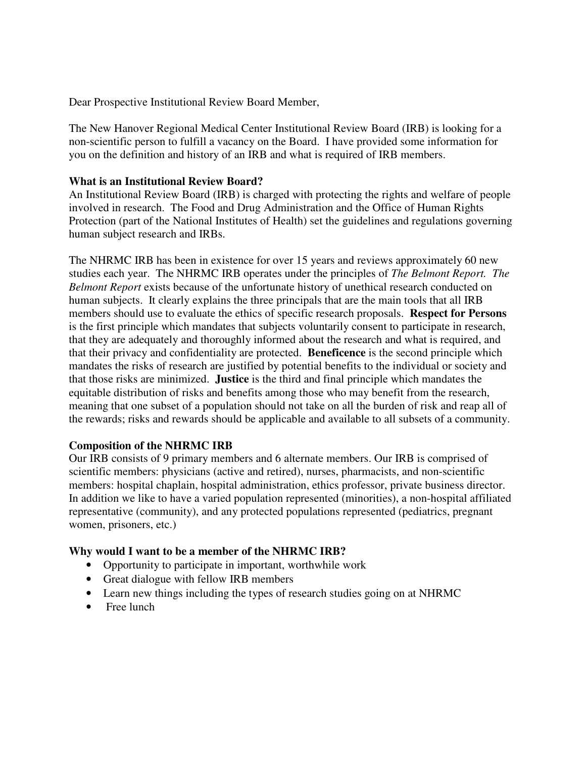Dear Prospective Institutional Review Board Member,

The New Hanover Regional Medical Center Institutional Review Board (IRB) is looking for a non-scientific person to fulfill a vacancy on the Board. I have provided some information for you on the definition and history of an IRB and what is required of IRB members.

## **What is an Institutional Review Board?**

An Institutional Review Board (IRB) is charged with protecting the rights and welfare of people involved in research. The Food and Drug Administration and the Office of Human Rights Protection (part of the National Institutes of Health) set the guidelines and regulations governing human subject research and IRBs.

The NHRMC IRB has been in existence for over 15 years and reviews approximately 60 new studies each year. The NHRMC IRB operates under the principles of *The Belmont Report. The Belmont Report* exists because of the unfortunate history of unethical research conducted on human subjects. It clearly explains the three principals that are the main tools that all IRB members should use to evaluate the ethics of specific research proposals. **Respect for Persons** is the first principle which mandates that subjects voluntarily consent to participate in research, that they are adequately and thoroughly informed about the research and what is required, and that their privacy and confidentiality are protected. **Beneficence** is the second principle which mandates the risks of research are justified by potential benefits to the individual or society and that those risks are minimized. **Justice** is the third and final principle which mandates the equitable distribution of risks and benefits among those who may benefit from the research, meaning that one subset of a population should not take on all the burden of risk and reap all of the rewards; risks and rewards should be applicable and available to all subsets of a community.

## **Composition of the NHRMC IRB**

Our IRB consists of 9 primary members and 6 alternate members. Our IRB is comprised of scientific members: physicians (active and retired), nurses, pharmacists, and non-scientific members: hospital chaplain, hospital administration, ethics professor, private business director. In addition we like to have a varied population represented (minorities), a non-hospital affiliated representative (community), and any protected populations represented (pediatrics, pregnant women, prisoners, etc.)

## **Why would I want to be a member of the NHRMC IRB?**

- Opportunity to participate in important, worthwhile work
- Great dialogue with fellow IRB members
- Learn new things including the types of research studies going on at NHRMC
- Free lunch